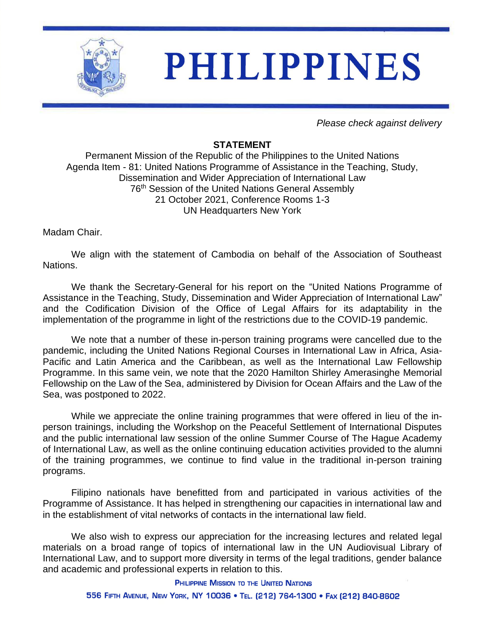

*Please check against delivery*

## **STATEMENT**

Permanent Mission of the Republic of the Philippines to the United Nations Agenda Item - 81: United Nations Programme of Assistance in the Teaching, Study, Dissemination and Wider Appreciation of International Law 76<sup>th</sup> Session of the United Nations General Assembly 21 October 2021, Conference Rooms 1-3 UN Headquarters New York

Madam Chair.

We align with the statement of Cambodia on behalf of the Association of Southeast Nations.

We thank the Secretary-General for his report on the "United Nations Programme of Assistance in the Teaching, Study, Dissemination and Wider Appreciation of International Law" and the Codification Division of the Office of Legal Affairs for its adaptability in the implementation of the programme in light of the restrictions due to the COVID-19 pandemic.

We note that a number of these in-person training programs were cancelled due to the pandemic, including the United Nations Regional Courses in International Law in Africa, Asia-Pacific and Latin America and the Caribbean, as well as the International Law Fellowship Programme. In this same vein, we note that the 2020 Hamilton Shirley Amerasinghe Memorial Fellowship on the Law of the Sea, administered by Division for Ocean Affairs and the Law of the Sea, was postponed to 2022.

While we appreciate the online training programmes that were offered in lieu of the inperson trainings, including the Workshop on the Peaceful Settlement of International Disputes and the public international law session of the online Summer Course of The Hague Academy of International Law, as well as the online continuing education activities provided to the alumni of the training programmes, we continue to find value in the traditional in-person training programs.

Filipino nationals have benefitted from and participated in various activities of the Programme of Assistance. It has helped in strengthening our capacities in international law and in the establishment of vital networks of contacts in the international law field.

We also wish to express our appreciation for the increasing lectures and related legal materials on a broad range of topics of international law in the UN Audiovisual Library of International Law, and to support more diversity in terms of the legal traditions, gender balance and academic and professional experts in relation to this.